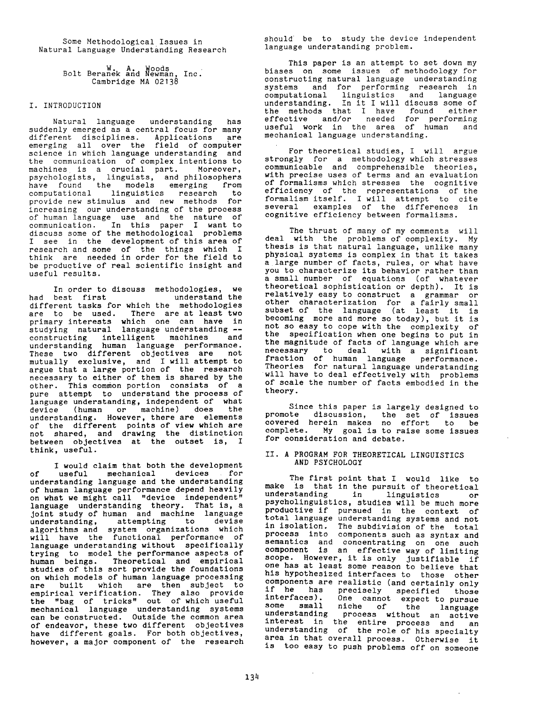Some Methodological Issues in Natural Language Understanding Research

> Bolt Beranek and Newman, Inc. Cambridge MA 02138

## I. INTRODUCTION

Natural language understanding has suddenly emerged as a central focus for many different disciplines. Applications are emerging all over the field of computer science in which language understanding and the communication of complex intentions to machines is a crucial part. Moreover, psychologists, linguists, and philosophers have found the models emerging from computational linguistics research to provide new stimulus and new methods for increasing our understanding of the process of human language use and the nature of communication. In this paper I want to discuss some of the methodological problems I see in the development of this area of research and some of the things which I think are needed in order for the field to be productive of real scientific insight and useful results.

In order to discuss methodologies, we<br>had best first understand the had best first understand the different tasks for which the methodologies are to be used. There are at least two primary interests which one can have in studying natural language understanding - constructing intelligent machines and understanding human language performance. These two different objectives are not mutually exclusive, and I will attempt to argue that a large portion of the research necessary to either of them is shared by the other. This common portion consists of a pure attempt to understand the process of language understanding, independent of what device (human or machine) does the understanding. However, there are elements of the different points of view which are not shared, and drawing the distinction between objectives at the outset is, I think, useful.

I would claim that both the development of useful mechanical devices for understanding language and the understanding of human language performance depend heavily on what we might call "device independent" language understanding theory. That is, a Joint study of human and machine language understanding, attempting to devise algorithms and system organizations which will have the functional performance of language understanding without specifically trying to model the performance aspects of human beings. Theoretical and empirical studies of this sort provide the foundations on which models of human language processing are built which are then subject to empirical verification. They also provide the "bag of tricks" out of which useful mechanical language understanding systems can be constructed. Outside the common area of endeavor, these two different objectives have different goals. For both objectives, however, a major component of the research

should be to study the device independent language understanding problem.

This paper is an attempt to set down my biases on some issues of methodology for constructing natural language understanding systems and for performing research in computational linguistics and language understanding. In it I will discuss some of the methods that I have found either effective and/or needed for performing useful work in the area of human and mechanical language understanding.

For theoretical studies, I will argue strongly for a methodology which stresses communicable and comprehensible theories, with precise uses of terms and an evaluation of formalisms which stresses the cognitive efficiency of the representations of the formalism itself. I will attempt to cite several examples of the differences in cognitive efficiency between formalisms.

The thrust of many of my comments will deal with the problems of complexity. My thesis is that natural language, unlike many physical systems is complex in that it takes a large number of facts, rules, or what have you to characterize its behavior rather than a small number of equations (of whatever theoretical sophistication or depth). It is relatively easy to construct a grammar or other characterization for a fairly small subset of the language (at least it is becoming more and more so today), but it is not so easy to cope with the complexity of the specification when one begins to put in the magnitude of facts of language which are necessary to deal with a significant fraction of human language performance. Theories for natural language understanding will have to deal effectively with problems of scale the number of facts embodied in the theory.

Since this paper is largely designed to promote discussion, the set of issues covered herein makes no effort to be complete. My goal is to raise some issues for consideration and debate.

# If. A PROGRAM FOR THEORETICAL LINGUISTICS **AND** PSYCHOLOGY

The first point that I would like to make is that in the pursuit of theoretical understanding in linguistics or psycholinguistics, studies will be much more productive if pursued in the context of<br>total language understanding systems and not total language understanding systems and not in isolation. The subdivision of the total process into components such as syntax and semantics and concentrating on one such component is an effective way of limiting scope. However, it is only justifiable if one has at least some reason to believe that his hypothesized interfaces to those other components are realistic (and certainly only if he has precisely specified those interfaces). One cannot expect to pursue some small niche of the language understanding process without an active interest in the entire process and an understanding of the role of his specialty area in that overall process. Otherwise it is too easy to push problems off on someone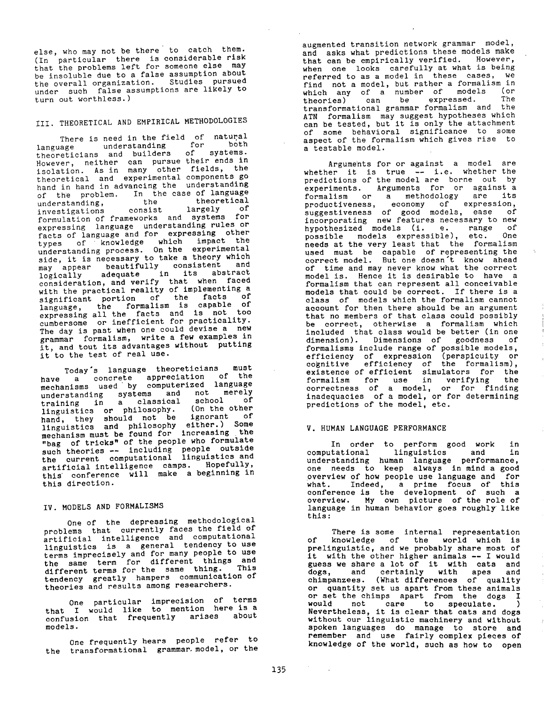else, who may not be there to catch them. (In particular there is considerable risk that the problems left for someone else may be insoluble due to a false assumption about the overall organization. Studies pursued under such false assumptions are likely to turn out worthless.)

# III. THEORETICAL AND EMPIRICAL METHODOLOGIES

There is need in the field of natural language understanding for both theoreticians and builders of systems. However, neither can pursue their ends in isolation. As in many other fields, the theoretical and experimental components go hand in hand in advancing the understanding of the problem. In the case of language<br>understanding. the theoretical understanding, the theoretical investigations consist largely of formulation of frameworks and systems for expressing language understanding rules or facts of language and for expressing other types of knowledge which impact the understanding process. On the experimental side, it is necessary to take a theory which may appear beautifully consistent and logically adequate in its abstract consideration, and verify that when faced with the practical reality of implementing a significant portion of the facts of language, the formalism is capable of expressing all the facts and is not too cumbersome or inefficient for practicality. The day is past when one could devise a new grammar formalism, write a few examples in it, and tout its advantages without putting it to the test of real use.

Today's language theoreticians must have a concrete appreciation of the<br>mechanisms used by computerized language mechanisms used by computerized language understanding systems and not merely training in a classical school of linguistics or philosophy. (On the other hand, they should not be ignorant of linguistics and philosophy either.) Some mechanism must be found for increasing the "bag of tricks" of the people who formulate such theories -- including people outside the current computational linguistics and artificial intelligence camps. Hopefully, this conference will make a beginning in this direction.

# **IV. MODELS AND FORMALISMS**

One of the depressing methodological problems that currently faces the field of artificial intelligence and computational linguistics is a general tendency to use terms imprecisely and for many people to use the same term for different things and different terms for the same thing. This tendency greatly hampers communication of theories and results among researchers.

One particular imprecision of terms that I would like to mention here is a confusion that frequently arises about models.

One frequently hears people refer to the transformational grammar, model, or the augmented transition network grammar model, and asks what predictions these models make that can be empirically verified. However, when one looks carefully at what is being referred to as a model in these cases, we find not a model, but rather a formalism in which any of a number of models (or theories) can be expressed. The transformational grammar formalism and the ATN formalism may suggest hypotheses which can be tested, but it is only the attachment of some behavioral significance to some aspect of the formalism which gives rise to a testable model.

Arguments for or against a model are whether it is true -- i.e. whether the predictions of the model are borne out by experiments. Arguments for or against a formalism or a methodology are its productiveness, economy of expression, suggestiveness of good models, ease of incorporating new features necessary to new hypothesized models (i. e. range of possible models expressible), etc. One needs at the very least that the formalism used must be capable of representing the correct model. But one doesn't know ahead of time and may never know what the correct model is. Hence it is desirable to have a formalism that can represent all conceivable models that could be correct. If there is a class of models which the formalism cannot account for then there should be an argument that no members of that class could possibly be correct, otherwise a formalism which included that class would be better (in one<br>dimension). Dimensions of goodness of dimension). Dimensions of goodness formalisms include range of possible models, efficiency of expression (perspicuity or cognitive efficiency of the formalism), existence of efficient simulators for the formalism for use in verifying the correctness of a model, or for finding inadequacies of a model, or for determining predictions of the model, etc.

#### **V. HUMAN LANGUAGE PERFORMANCE**

In order to perform good work in computational linguistics and in understanding human language performance, one needs to keep always in mind a good overview of how people use language and for what. Indeed, a prime focus of this conference is the development of such a overview. My own picture of the role of language in human behavior goes roughly like this:

There is some internal representation of knowledge of the world which is prelinguistic, and we probably share most of it with the other higher animals -- I would guess we share a lot of it with cats and dogs, and certainly with apes and chimpanzees. (What differences of quality or quantity set us apart from these animals or set the chimps apart from the dogs I<br>would not care to speculate. ) not care to speculate. Nevertheless, it is clear that cats and dogs without our linguistic machinery and without spoken languages do manage to store and remember and use fairly complex pieces of knowledge of the world, such as how to open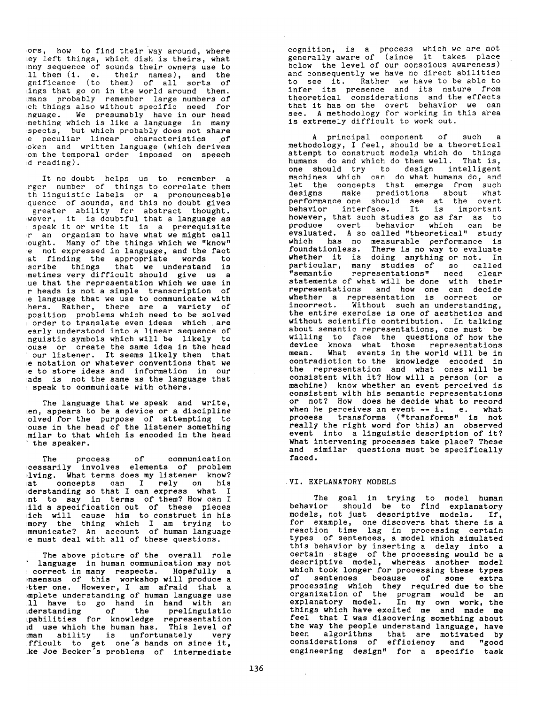ors, how to find their way around, where  $\epsilon$  left things, which dish is theirs, what funny sequence of sounds their owners use to call them (i. e. their names), and the gnificance (to them) of all sorts of ings that go on in the world around them. mans probably remember large-numbers of ch things also without specific need for nguage. We presumably have in our head mething which is like a language in many spects, but which probably does not share e peculiar linear characteristics of spoken and written language (which derives om the temporal order imposed on speech  $d$  reading).

It no doubt helps us to remember a rger number of things to correlate them th linguistic labels or a pronounceable quence of sounds, and this no doubt gives a greater ability for abstract thought. wever, it is doubtful that a language as speak it or write it is a prerequisite r an organism to have what we might call ought. Many of the things which we "know" e not expressed in language, and the fact at finding the appropriate words to scribe things that we understand is metimes very difficult should give us a ue that the representation which we use in r heads is not a simple transcription of  $\epsilon$  language that we use to communicate with hers. Rather, there are a variety of position problems which need to be solved in order to translate even ideas which .are early understood into a linear sequence of nguistic symbols which will be likely to ouse or create the same idea in the head our listener. It seems likely then that e notation or whatever conventions that we e to store ideas and information in our ads is not the same as the language that speak to communicate with others.

The language that we speak and write, len, appears to be a device or a discipline olved for the purpose of attempting to ouse in the head of the listener something milar to that which is encoded in the head the speaker.

The process of communication necessarily involves elements of problem lving. What terms does my listener know? at concepts can I rely on his derstanding so that I can express what  $I$ want to say in terms of them? How can I ild a specification out of these pieces which will cause him to construct in his memory the thing which I am trying to communicate? An account of human language  $\cdot$  e must deal with all of these questions.

The above picture of the overall role ' language in human communication may not correct in many respects. Hopefully a nsensus of this workshop will produce a tter one. However, I am afraid that a mplete understanding of human language use will have to go hand in hand with an derstanding of the prelinguistic pabilities for knowledge representation and use which the human has. This level of man ability is unfortunately very  $f$  ficult to get one s hands on since it, ke Joe Becker's problems of intermediate

cognition, is a process which we are not generally aware of (since it takes place below the level of our conscious awareness) and consequently we have no direct abilities to see it. Rather we have to be able to infer its presence and its nature from theoretical considerations and the effects that it has on the overt behavior we can see. A methodology for working in this area is extremely difficult to work out.

A principal component of such a methodology, I feel, should be a theoretical attempt to construct models which do things humans do and which do them well. That is, one should try to design intelligent machines which can do what humans do, and let the concepts that emerge from such designs make predictions about what performance one should see at the overt behavior interface. It is important however, that such studies go as far as to<br>produce overt behavior which can be overt behavior which can be evaluated. A so called "theoretical" study which has no measurable performance is foundationless. There is no way to evaluate whether it is doing anything or not. In particular, many studies of so called "semantic representations" need clear statements of what will be done with their representations and how one can decide whether a representation is correct or incorrect. Without such an understanding, the entire exercise is one of aesthetics and without scientific contribution. In talking about semantic representations, one must be willing to face the questions of how the device knows what those representations mean. What events in the world will be in contradiction to the knowledge encoded in the representation and what ones will be consistent with it? How will a person (or a machine) know whether an event perceived is consistent with his semantic representations or not? How does he decide what to record when he perceives an event -- i. e. what process transforms ("transforms" is hot really the right word for this) an observed event into a linguistic description of it? What intervening processes take place? These and similar questions must be specifically faced.

#### VI. EXPLANATORY MODELS

The goal in trying to model human behavior should be to find explanatory models, not just descriptive models. If, for example, one discovers that there is a reaction time lag in processing certain types of sentences, a model which simulated this behavior by inserting a delay into a certain stage of the processing would be a descriptive model, whereas another model which took longer for processing these types of sentences because of some extra processing which they required due to the organization of the program would be an explanatory model. In my own work, the things which have excited me and made me feel that I was discovering something about the way the people understand language, have been algorithms that are motivated by considerations of efficiency and "good engineering design" for a specific task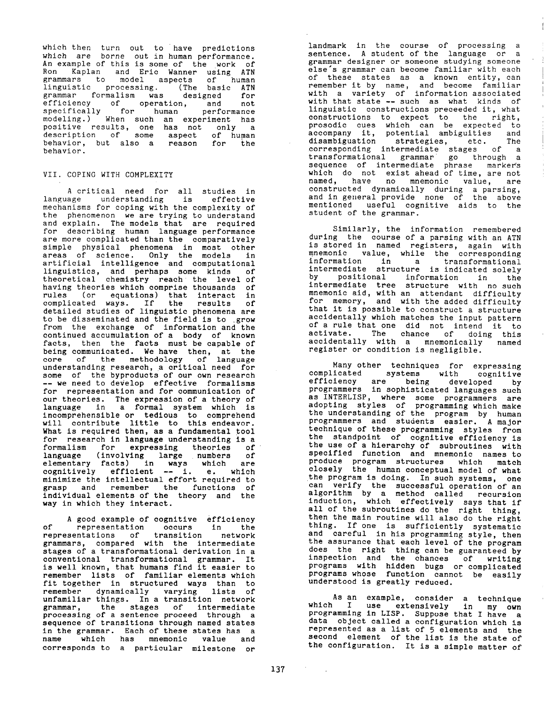which then turn out to have predictions which are borne out in human performance. An example of this is some of the work of Ron Kaplan and Eric Wanner using ATN grammars to model aspects of human linguistic processing. (The basic ATN grammar formalism was designed for efficiency of operation, and not specifically for human performance modeling.) When such an experiment has positive results, one has not only a description of some aspect of human behavior, but also a reason for the behavior.

## VII. COPING WITH COMPLEXITY

A critical need for all studies in language understanding is effective mechanisms for coping with the complexity of the phenomenon we are trying to understand and explain. The models that are required for describing human language performance are more complicated than the comparatively simple physical phenomena in most other areas of science. Only the models in artificial intelligence and computational linguistics, and perhaps some kinds of theoretical chemistry reach the level of having theories which comprise thousands of rules (or equations) that interact in complicated ways. If the results of detailed studies of linguistic phenomena are to be disseminated and the field is to grow from the exchange of information and the continued accumulation of a body of known facts, then the facts must be capable of being communicated. We have then, at the core of the methodology of language understanding research, a critical need for some of the byproducts of our own research -- we need to develop effective formalisms for representation and for communication of our theories. The expression of a theory of language in a formal system which is incomprehensible or tedious to comprehend will contribute little to this endeavor. What is required then, as a fundamental tool for research in language understanding is a formalism for expressing theories of language (involving large numbers of elementary facts) in ways which are cognitively efficient -- i. e. which minimize the intellectual effort required to grasp and remember the functions of individual elements of the theory and the way in which they interact.

A good example of cognitive efficiency of representation occurs in the representations of transition network grammars, compared with the intermediate stages of a transformational derivation in a conventional transformational grammar. It is well known, that humans find it easier to remember lists of familiar elements which fit together in structured ways than to remember dynamically varying lists of unfamiliar things. In a transition network grammar, the stages of intermediate processing of a sentence proceed through a sequence of transitions through named states in the grammar. Each of these states has a name which has mnemonic value and corresponds to a particular milestone or landmark in the course of processing a sentence. A student of the language or a grammar designer or someone studying someone else's grammar can become familiar with each of these states as a known entity, can remember it by name, and become familiar with a variety of information associated with that state -- such as what kinds of linguistic constructions preceeded it, what constructions to expect to the right, prosodic cues which can be expected to accompany it, potential ambiguities and disambiguation strategies, etc. The corresponding intermediate stages of a transformational grammar go through a sequence of intermediate phrase markers which do not exist ahead of time, are not named, have no mnemonic value, are constructed dynamically during a parsing, and in general provide none of the above mentioned useful cognitive aids to the student of the grammar.

Similarly, the information remembered during the course of a parsing with an ATN is stored in named registers, again with mnemonic value, while the corresponding information in a transformational intermediate structure is indicated solely by positional information in the intermediate tree structure with no such mnemonic aid, with an attendant difficulty for memory, and with the added difficulty that it is possible to construct a structure accidentally which matches the input pattern of a rule that one did not intend it to activate. The chance of doing this accidentally with a mnemonically named register or condition is negligible.

Many other techniques for expressing complicated systems with cognitive efficiency are being developed by programmers in sophisticated languages such as INTERLISP, where some programmers are adopting styles of programming which make the understanding of the program by human programmers and students easier. A major technique of these programming styles from the standpoint of cognitive efficiency is the use of a hierarchy of subroutines with specified function and mnemonic names to produce program structures which match closely the human conceptual model of what the program is doing. In such systems, one can verify the successful operation of an algorithm by a method called recursion induction, which effectively says that if all of the subroutines do the right thing, then the main routine will also do the right thing. If one is sufficiently systematic and careful in his programming style, then the assurance that each level of the program does the right thing can be guaranteed by inspection and the chances of writing programs with hidden bugs or complicated programs whose function cannot be easily understood is greatly reduced.

As an example, consider a technique which I use extensively in my own programming in LISP. Suppose that I have a data object called a configuration which is represented as a list of 5 elements and the second element of the list is the state of the configuration. It is a simple matter of

 $\mathcal{O}(\mathcal{O}_\mathcal{O})$  .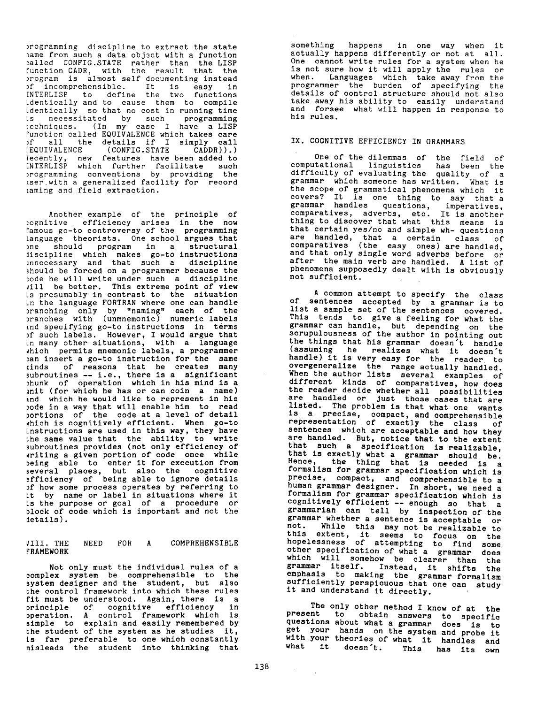programming discipline to extract the state name from such a data object with a function called CONFIG.STATE rather than the LISP function CADR, with the result that the program is almost self documenting instead of incomprehensible. It is easy in INTERLISP to define the two functions identically and to cause them to compile identically so that no cost in running time is necessitated by such programming techniques. (In my case I have a LISP function called EQUIVALENCE which takes care of all the details if I simply call<br>EQUIVALENCE (CONFIG.STATE CADDR)).) (EQUIVALENCE (CONFIG.STATE CADDR)).) Recently, new features have been added to INTERLISP which further facilitate such programming conventions by providing the user with a generalized facility for record naming and field extraction.

Another example of the principle of cognitive efficiency arises in the now famous go-to controversy of the programming language theorists. One school argues that one should program in a structural discipline which makes go-to instructions unnecessary and that such a discipline should be forced on a programmer because the code he will write under such a discipline vill be better. This extreme point of view is presumably in contrast to the situation in the language FORTRAN where one can handle branching only by "naming" each of the branches with (unmnemonic) numeric labels and specifying go-to instructions in terms of such labels. However, I would argue that in many other situations, with a language which permits mnemonic labels, a programmer ean insert a go-to instruction for the same kinds of reasons that he creates many subroutines -- i.e., there is a significant chunk of operation which in his mind is a unit (for which he has or can coin a name) and which he would like to represent in his code in a way that will enable him to read portions of the code at a level of detail which is cognitively efficient. When go-to instructions are used in this way, they have the same value that the ability to write subroutines provides (not only efficiency of writing a given portion of code once while being able to enter it for execution from several places, but also the cognitive efficiency of being able to ignore details of how some process operates by referring to it by name or label in situations where it is the purpose or goal of a procedure or block of code which is important and not the details).

## VIII. THE NEED FOR A COMPREHENSIBLE FRAMEWORK

Not only must the individual rules of a complex system be comprehensible to the system designer and the student, but also the control framework into which these rules fit must be understood. Again, there is a principle of cognitive efficiency in operation. A control framework which is simple to explain and easily remembered by the student of the system as he studies it, is far preferable to one which constantly misleads the student into thinking that

something happens in one way when it actually happens differently or not at all. One cannot write rules for a system when he is not sure how it will apply the rules or when. Languages which take away from the programmer the burden of specifying the details of control structure should not also take away his ability to easily understand and forsee what will happen in response to his rules.

## IX. COGNITIVE EFFICIENCY IN GRAMMARS

One of the dilemmas of the field of computational linguistics has been the difficulty of evaluating the quality of a grammar which someone has written. What is the scope of grammatical phenomena which it covers? It is one thing to say that a grammar handles questions, imperatives, comparatives, adverbs, etc. It is another thing to discover that what this means is that certain yes/no and simple wh- questions are handled, that a certain class of comparatives (the easy ones) are handled, and that only single word adverbs before or after the main verb are handled. A list of phenomena supposedly dealt with is obviously not sufficient.

A common attempt to specify the class of sentences accepted by a grammar is to list a sample set of the sentences covered. This tends to give a feeling for what the grammar can handle, but depending on the scrupulousness of the author in pointing out the things that his grammar doesn't handle (assuming he realizes what it doesn't handle) it is very easy for the reader to overgeneralize the range actually handled. When the author lists several examples of different kinds of comparatives, how does the reader decide whether all possibilities are handled or Just those cases that are listed. The problem is that what one wants is a precise, compact, and comprehensible representation of exactly the class of sentences which are acceptable and how they are handled. But, notice that to the extent that such a specification is realizable, that is exactly what a grammar should be. Hence, the thing that is needed is a formalism for grammar specification which is precise, compact, and comprehensible to a human grammar designer. In short, we need a formalism for grammar specification which is cognitively efficient -- enough so that a grammarian can tell by inspection of the grammar whether a sentence is acceptable or not. While this may not be realizable to this extent, it seems to focus on the hopelessness of attempting to find some other specification of what a grammar does which will somehow be clearer than the grammar itself. Instead, it shifts the emphasis to making the grammar formalism sufficiently perspicuous that one can study it and understand it directly.

The only other method I know of at the present to obtain answers to specific questions about what a grammar does is to get your hands on the system and probe it with your theories of what it handles and<br>what it doesn't. This has its own This has its own

 $\mathcal{A}^{\text{max}}_{\text{max}}$